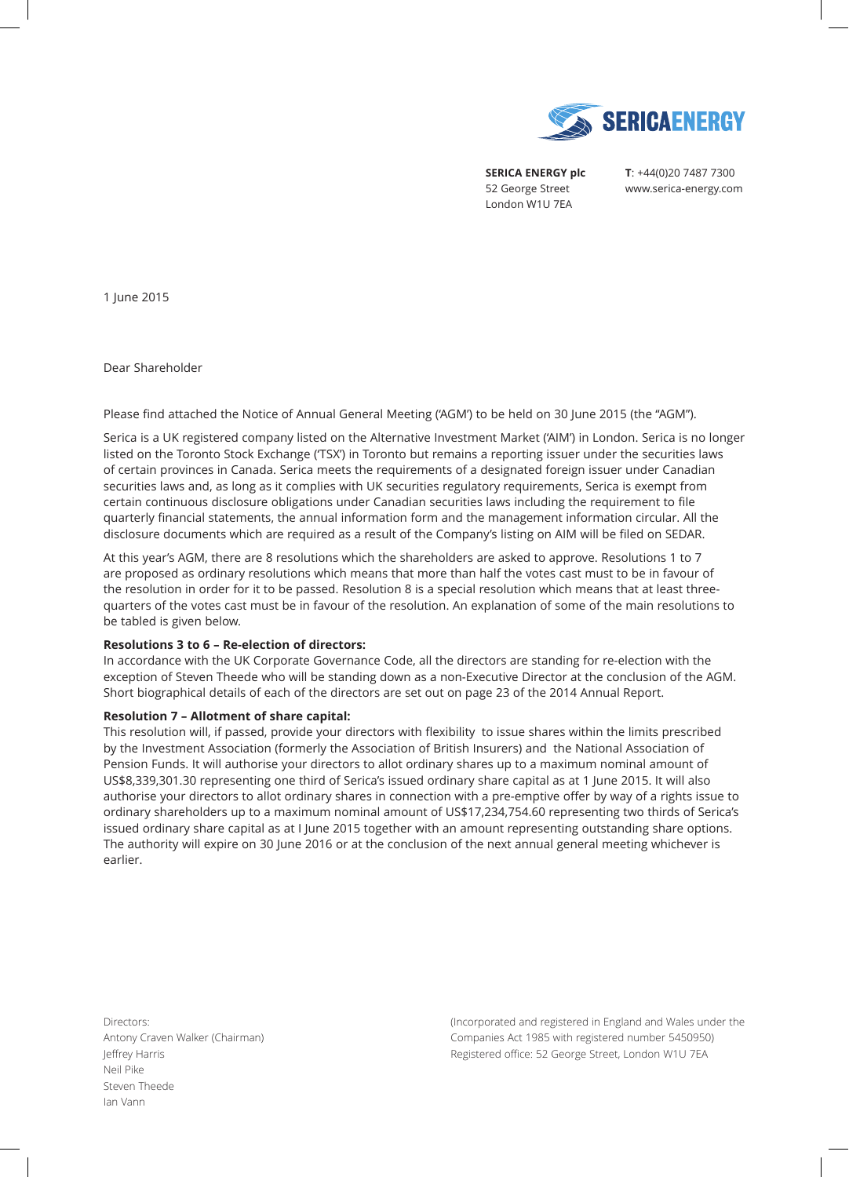

**SERICA ENERGY plc**  52 George Street London W1U 7EA

**T**: +44(0)20 7487 7300 www.serica-energy.com

1 June 2015

Dear Shareholder

Please find attached the Notice of Annual General Meeting ('AGM') to be held on 30 June 2015 (the "AGM").

Serica is a UK registered company listed on the Alternative Investment Market ('AIM') in London. Serica is no longer listed on the Toronto Stock Exchange ('TSX') in Toronto but remains a reporting issuer under the securities laws of certain provinces in Canada. Serica meets the requirements of a designated foreign issuer under Canadian securities laws and, as long as it complies with UK securities regulatory requirements, Serica is exempt from certain continuous disclosure obligations under Canadian securities laws including the requirement to file quarterly financial statements, the annual information form and the management information circular. All the disclosure documents which are required as a result of the Company's listing on AIM will be filed on SEDAR.

At this year's AGM, there are 8 resolutions which the shareholders are asked to approve. Resolutions 1 to 7 are proposed as ordinary resolutions which means that more than half the votes cast must to be in favour of the resolution in order for it to be passed. Resolution 8 is a special resolution which means that at least threequarters of the votes cast must be in favour of the resolution. An explanation of some of the main resolutions to be tabled is given below.

### **Resolutions 3 to 6 – Re-election of directors:**

In accordance with the UK Corporate Governance Code, all the directors are standing for re-election with the exception of Steven Theede who will be standing down as a non-Executive Director at the conclusion of the AGM. Short biographical details of each of the directors are set out on page 23 of the 2014 Annual Report.

### **Resolution 7 – Allotment of share capital:**

This resolution will, if passed, provide your directors with flexibility to issue shares within the limits prescribed by the Investment Association (formerly the Association of British Insurers) and the National Association of Pension Funds. It will authorise your directors to allot ordinary shares up to a maximum nominal amount of US\$8,339,301.30 representing one third of Serica's issued ordinary share capital as at 1 June 2015. It will also authorise your directors to allot ordinary shares in connection with a pre-emptive offer by way of a rights issue to ordinary shareholders up to a maximum nominal amount of US\$17,234,754.60 representing two thirds of Serica's issued ordinary share capital as at I June 2015 together with an amount representing outstanding share options. The authority will expire on 30 June 2016 or at the conclusion of the next annual general meeting whichever is earlier.

Directors: Antony Craven Walker (Chairman) Jeffrey Harris Neil Pike Steven Theede Ian Vann

(Incorporated and registered in England and Wales under the Companies Act 1985 with registered number 5450950) Registered office: 52 George Street, London W1U 7EA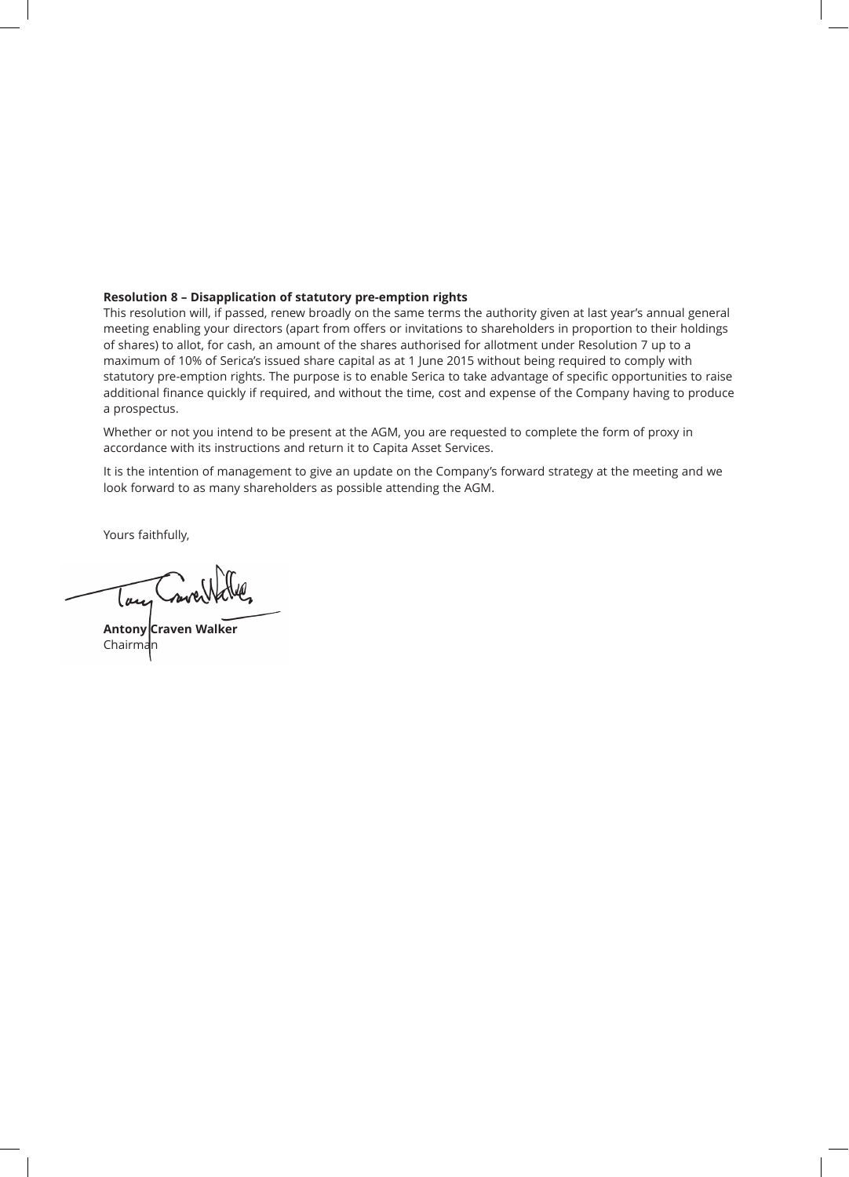### **Resolution 8 – Disapplication of statutory pre-emption rights**

This resolution will, if passed, renew broadly on the same terms the authority given at last year's annual general meeting enabling your directors (apart from offers or invitations to shareholders in proportion to their holdings of shares) to allot, for cash, an amount of the shares authorised for allotment under Resolution 7 up to a maximum of 10% of Serica's issued share capital as at 1 June 2015 without being required to comply with statutory pre-emption rights. The purpose is to enable Serica to take advantage of specific opportunities to raise additional finance quickly if required, and without the time, cost and expense of the Company having to produce a prospectus.

Whether or not you intend to be present at the AGM, you are requested to complete the form of proxy in accordance with its instructions and return it to Capita Asset Services.

It is the intention of management to give an update on the Company's forward strategy at the meeting and we look forward to as many shareholders as possible attending the AGM.

Yours faithfully,

nove lan

**Antony Craven Walker** Chairman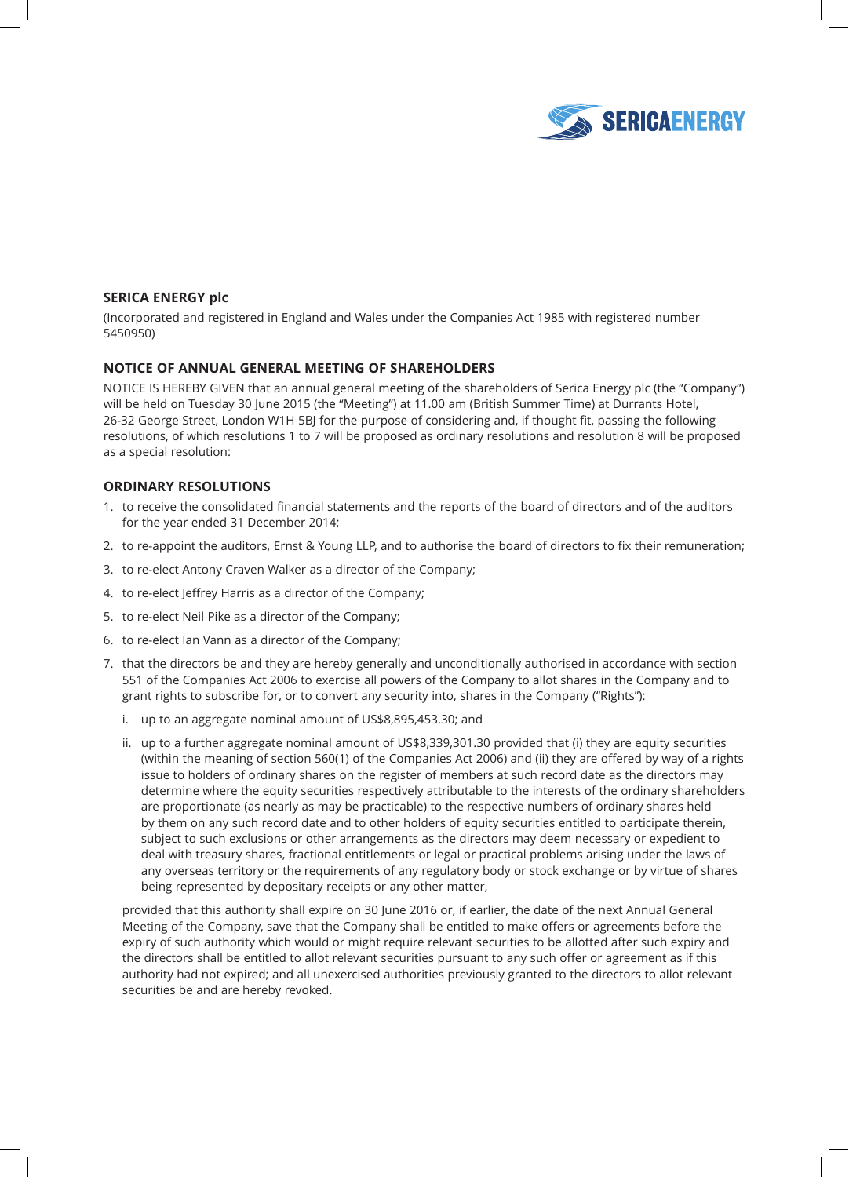

# **SERICA ENERGY plc**

(Incorporated and registered in England and Wales under the Companies Act 1985 with registered number 5450950)

### **NOTICE OF ANNUAL GENERAL MEETING OF SHAREHOLDERS**

NOTICE IS HEREBY GIVEN that an annual general meeting of the shareholders of Serica Energy plc (the "Company") will be held on Tuesday 30 June 2015 (the "Meeting") at 11.00 am (British Summer Time) at Durrants Hotel, 26-32 George Street, London W1H 5BJ for the purpose of considering and, if thought fit, passing the following resolutions, of which resolutions 1 to 7 will be proposed as ordinary resolutions and resolution 8 will be proposed as a special resolution:

### **ORDINARY RESOLUTIONS**

- 1. to receive the consolidated financial statements and the reports of the board of directors and of the auditors for the year ended 31 December 2014;
- 2. to re-appoint the auditors, Ernst & Young LLP, and to authorise the board of directors to fix their remuneration;
- 3. to re-elect Antony Craven Walker as a director of the Company;
- 4. to re-elect Jeffrey Harris as a director of the Company;
- 5. to re-elect Neil Pike as a director of the Company;
- 6. to re-elect Ian Vann as a director of the Company;
- 7. that the directors be and they are hereby generally and unconditionally authorised in accordance with section 551 of the Companies Act 2006 to exercise all powers of the Company to allot shares in the Company and to grant rights to subscribe for, or to convert any security into, shares in the Company ("Rights"):
	- i. up to an aggregate nominal amount of US\$8,895,453.30; and
	- ii. up to a further aggregate nominal amount of US\$8,339,301.30 provided that (i) they are equity securities (within the meaning of section 560(1) of the Companies Act 2006) and (ii) they are offered by way of a rights issue to holders of ordinary shares on the register of members at such record date as the directors may determine where the equity securities respectively attributable to the interests of the ordinary shareholders are proportionate (as nearly as may be practicable) to the respective numbers of ordinary shares held by them on any such record date and to other holders of equity securities entitled to participate therein, subject to such exclusions or other arrangements as the directors may deem necessary or expedient to deal with treasury shares, fractional entitlements or legal or practical problems arising under the laws of any overseas territory or the requirements of any regulatory body or stock exchange or by virtue of shares being represented by depositary receipts or any other matter,

 provided that this authority shall expire on 30 June 2016 or, if earlier, the date of the next Annual General Meeting of the Company, save that the Company shall be entitled to make offers or agreements before the expiry of such authority which would or might require relevant securities to be allotted after such expiry and the directors shall be entitled to allot relevant securities pursuant to any such offer or agreement as if this authority had not expired; and all unexercised authorities previously granted to the directors to allot relevant securities be and are hereby revoked.